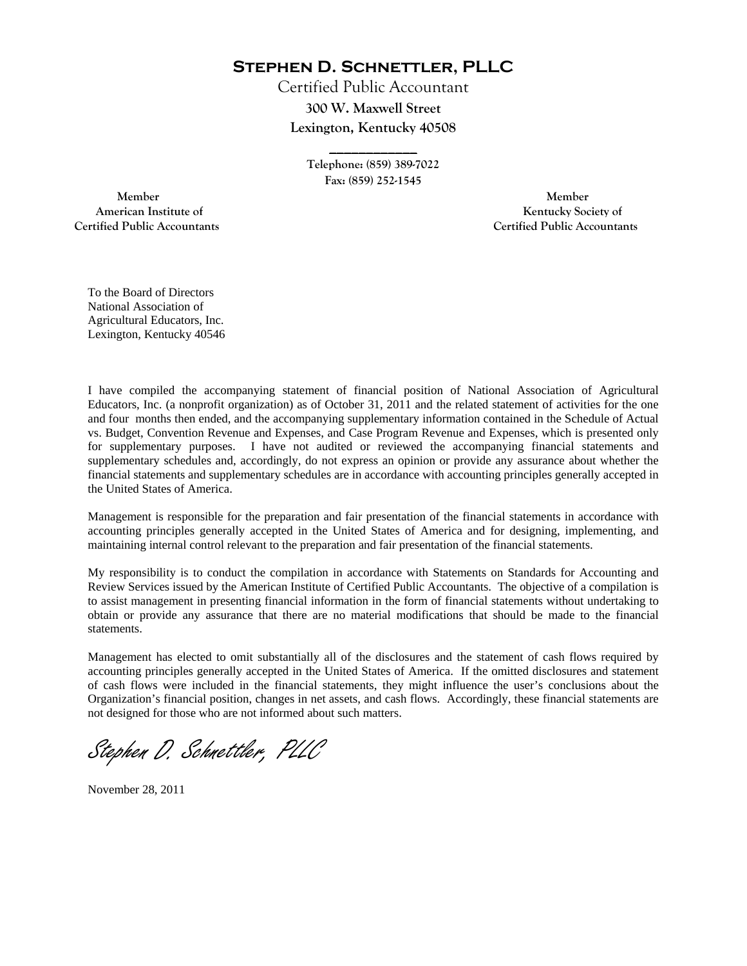**Stephen D. Schnettler, PLLC**

Certified Public Accountant **300 W. Maxwell Street Lexington, Kentucky 40508** 

> **Telephone: (859) 389-7022 Fax: (859) 252-1545**

**\_\_\_\_\_\_\_\_\_\_\_\_** 

 **Member Member Certified Public Accountants Certified Public Accountants** 

American Institute of **Kentucky Society of American Institute of** 

To the Board of Directors National Association of Agricultural Educators, Inc. Lexington, Kentucky 40546

I have compiled the accompanying statement of financial position of National Association of Agricultural Educators, Inc. (a nonprofit organization) as of October 31, 2011 and the related statement of activities for the one and four months then ended, and the accompanying supplementary information contained in the Schedule of Actual vs. Budget, Convention Revenue and Expenses, and Case Program Revenue and Expenses, which is presented only for supplementary purposes. I have not audited or reviewed the accompanying financial statements and supplementary schedules and, accordingly, do not express an opinion or provide any assurance about whether the financial statements and supplementary schedules are in accordance with accounting principles generally accepted in the United States of America.

Management is responsible for the preparation and fair presentation of the financial statements in accordance with accounting principles generally accepted in the United States of America and for designing, implementing, and maintaining internal control relevant to the preparation and fair presentation of the financial statements.

My responsibility is to conduct the compilation in accordance with Statements on Standards for Accounting and Review Services issued by the American Institute of Certified Public Accountants. The objective of a compilation is to assist management in presenting financial information in the form of financial statements without undertaking to obtain or provide any assurance that there are no material modifications that should be made to the financial statements.

Management has elected to omit substantially all of the disclosures and the statement of cash flows required by accounting principles generally accepted in the United States of America. If the omitted disclosures and statement of cash flows were included in the financial statements, they might influence the user's conclusions about the Organization's financial position, changes in net assets, and cash flows. Accordingly, these financial statements are not designed for those who are not informed about such matters.

Stephen D. Schnettler, PLLC

November 28, 2011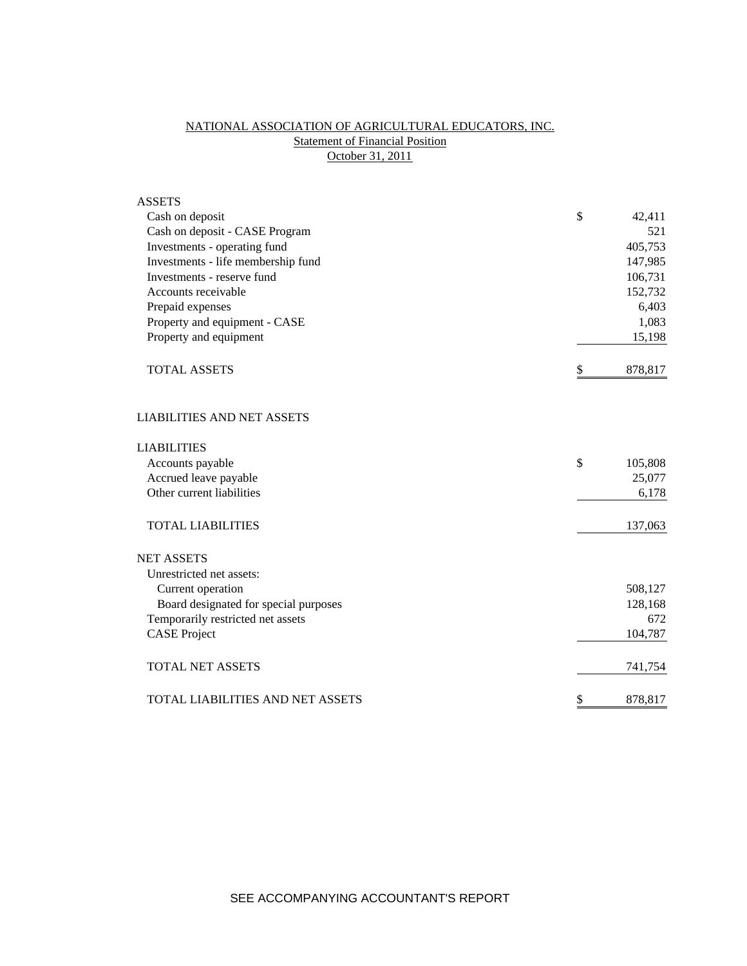# NATIONAL ASSOCIATION OF AGRICULTURAL EDUCATORS, INC. **Statement of Financial Position** October 31, 2011

| <b>ASSETS</b>                         |               |
|---------------------------------------|---------------|
| Cash on deposit                       | \$<br>42,411  |
| Cash on deposit - CASE Program        | 521           |
| Investments - operating fund          | 405,753       |
| Investments - life membership fund    | 147,985       |
| Investments - reserve fund            | 106,731       |
| Accounts receivable                   | 152,732       |
| Prepaid expenses                      | 6,403         |
| Property and equipment - CASE         | 1,083         |
| Property and equipment                | 15,198        |
| <b>TOTAL ASSETS</b>                   | \$<br>878,817 |
| <b>LIABILITIES AND NET ASSETS</b>     |               |
| <b>LIABILITIES</b>                    |               |
| Accounts payable                      | \$<br>105,808 |
| Accrued leave payable                 | 25,077        |
| Other current liabilities             | 6,178         |
| <b>TOTAL LIABILITIES</b>              | 137,063       |
| <b>NET ASSETS</b>                     |               |
| Unrestricted net assets:              |               |
| Current operation                     | 508,127       |
| Board designated for special purposes | 128,168       |
| Temporarily restricted net assets     | 672           |
| <b>CASE Project</b>                   | 104,787       |
| <b>TOTAL NET ASSETS</b>               | 741,754       |
| TOTAL LIABILITIES AND NET ASSETS      | \$<br>878,817 |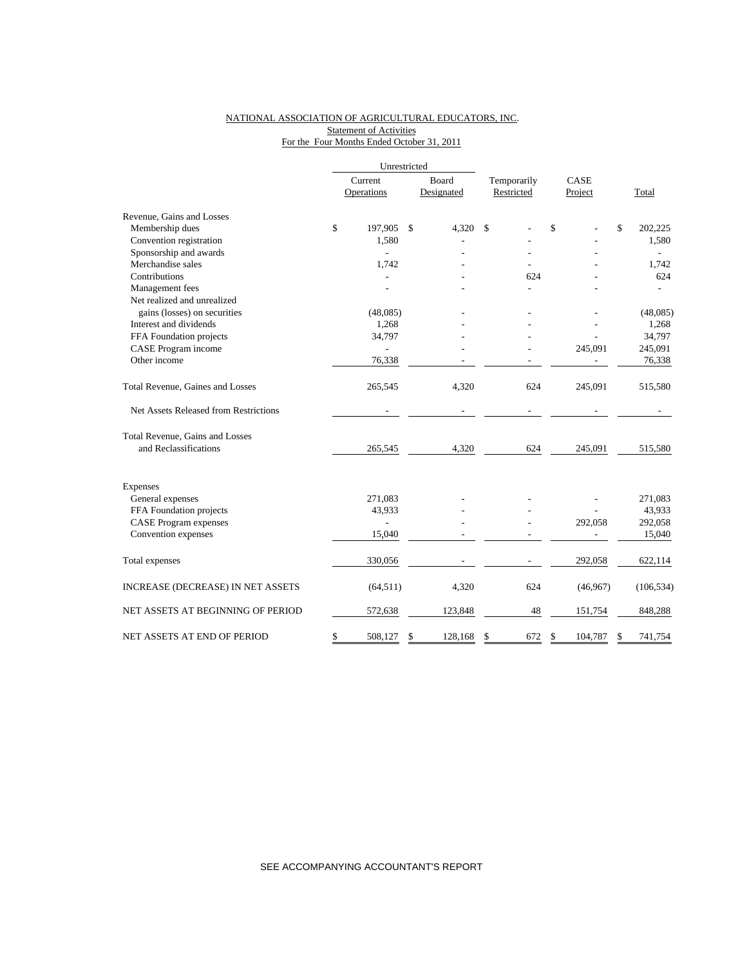### NATIONAL ASSOCIATION OF AGRICULTURAL EDUCATORS, INC. Statement of Activities For the Four Months Ended October 31, 2011

|                                       | Unrestricted   |               |             |               |    |            |
|---------------------------------------|----------------|---------------|-------------|---------------|----|------------|
|                                       | Current        | Board         | Temporarily | CASE          |    |            |
|                                       | Operations     | Designated    | Restricted  | Project       |    | Total      |
| Revenue, Gains and Losses             |                |               |             |               |    |            |
| Membership dues                       | \$<br>197,905  | \$<br>4,320   | \$          | \$            | \$ | 202,225    |
| Convention registration               | 1,580          |               |             |               |    | 1,580      |
| Sponsorship and awards                | $\overline{a}$ |               |             |               |    |            |
| Merchandise sales                     | 1,742          |               |             |               |    | 1,742      |
| Contributions                         |                |               | 624         |               |    | 624        |
| Management fees                       |                |               |             |               |    |            |
| Net realized and unrealized           |                |               |             |               |    |            |
| gains (losses) on securities          | (48,085)       |               |             |               |    | (48,085)   |
| Interest and dividends                | 1,268          |               |             |               |    | 1,268      |
| FFA Foundation projects               | 34,797         |               |             |               |    | 34,797     |
| CASE Program income                   |                |               |             | 245,091       |    | 245,091    |
| Other income                          | 76,338         |               |             |               |    | 76,338     |
| Total Revenue, Gaines and Losses      | 265,545        | 4,320         | 624         | 245,091       |    | 515,580    |
| Net Assets Released from Restrictions |                |               |             |               |    |            |
| Total Revenue, Gains and Losses       |                |               |             |               |    |            |
| and Reclassifications                 | 265,545        | 4,320         | 624         | 245,091       |    | 515,580    |
| Expenses                              |                |               |             |               |    |            |
| General expenses                      | 271,083        |               |             |               |    | 271,083    |
| FFA Foundation projects               | 43,933         |               |             |               |    | 43,933     |
| <b>CASE Program expenses</b>          |                |               |             | 292,058       |    | 292,058    |
| Convention expenses                   | 15,040         |               |             |               |    | 15,040     |
| Total expenses                        | 330,056        |               |             | 292,058       |    | 622,114    |
| INCREASE (DECREASE) IN NET ASSETS     | (64, 511)      | 4,320         | 624         | (46,967)      |    | (106, 534) |
| NET ASSETS AT BEGINNING OF PERIOD     | 572,638        | 123,848       | 48          | 151,754       |    | 848,288    |
| NET ASSETS AT END OF PERIOD           | \$<br>508,127  | \$<br>128,168 | \$<br>672   | \$<br>104,787 | S  | 741,754    |

SEE ACCOMPANYING ACCOUNTANT'S REPORT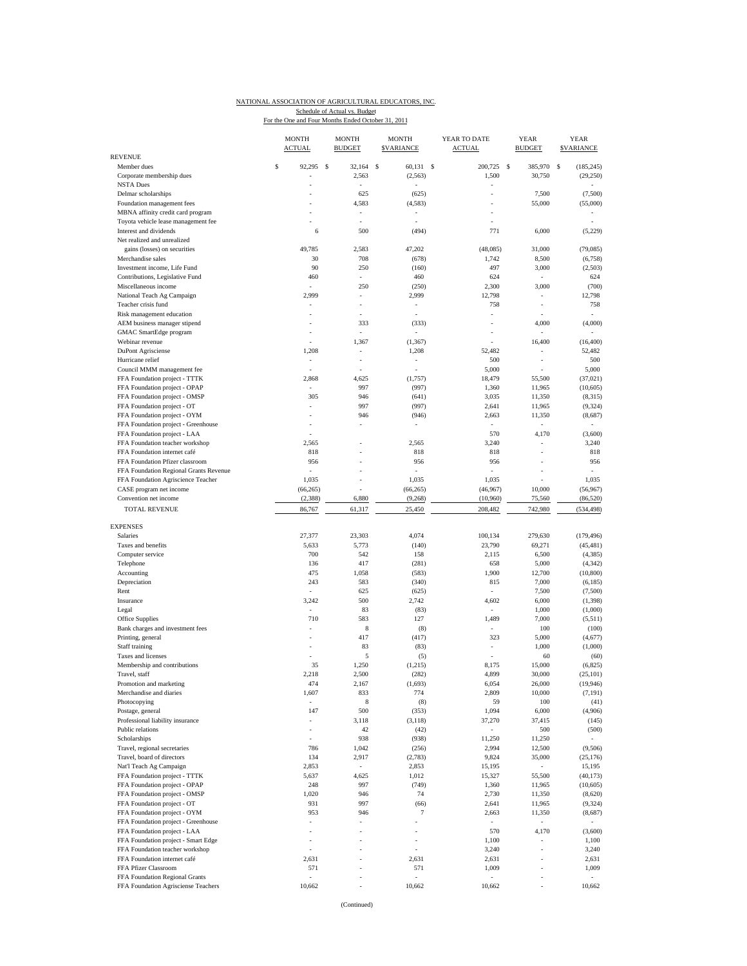## NATIONAL ASSOCIATION OF AGRICULTURAL EDUCATORS, INC. Schedule of Actual vs. Budget<br>For the One and Four Months Ended October 31, 2011

|                                                                 | <b>MONTH</b><br><b>ACTUAL</b> |          | <b>MONTH</b><br><b>BUDGET</b> | <b>MONTH</b><br><b>SVARIANCE</b> |          | YEAR TO DATE<br><b>ACTUAL</b> |              | <b>YEAR</b><br><b>BUDGET</b>       |   | <b>YEAR</b><br><b>SVARIANCE</b> |
|-----------------------------------------------------------------|-------------------------------|----------|-------------------------------|----------------------------------|----------|-------------------------------|--------------|------------------------------------|---|---------------------------------|
| <b>REVENUE</b>                                                  | \$                            | <b>S</b> | 32.164                        | <sup>\$</sup><br>60,131          | <b>S</b> |                               | <sup>S</sup> | 385,970                            |   |                                 |
| Member dues<br>Corporate membership dues                        | 92,295<br>ä,                  |          | 2,563                         | (2, 563)                         |          | 200,725<br>1,500              |              | 30,750                             | S | (185, 245)<br>(29, 250)         |
| <b>NSTA Dues</b>                                                |                               |          | ä,                            |                                  |          |                               |              |                                    |   |                                 |
| Delmar scholarships                                             | ä,                            |          | 625                           | (625)                            |          | ÷,                            |              | 7,500                              |   | (7,500)                         |
| Foundation management fees                                      |                               |          | 4,583                         | (4, 583)                         |          |                               |              | 55,000                             |   | (55,000)                        |
| MBNA affinity credit card program                               | ä,                            |          | $\overline{\phantom{a}}$      |                                  |          | ÷,                            |              |                                    |   |                                 |
| Toyota vehicle lease management fee                             |                               |          |                               |                                  |          |                               |              |                                    |   |                                 |
| Interest and dividends                                          | 6                             |          | 500                           | (494)                            |          | 771                           |              | 6,000                              |   | (5,229)                         |
| Net realized and unrealized<br>gains (losses) on securities     | 49,785                        |          | 2,583                         | 47,202                           |          | (48,085)                      |              | 31,000                             |   | (79,085)                        |
| Merchandise sales                                               | 30                            |          | 708                           | (678)                            |          | 1,742                         |              | 8,500                              |   | (6,758)                         |
| Investment income, Life Fund                                    | 90                            |          | 250                           | (160)                            |          | 497                           |              | 3,000                              |   | (2,503)                         |
| Contributions, Legislative Fund                                 | 460                           |          |                               | 460                              |          | 624                           |              |                                    |   | 624                             |
| Miscellaneous income                                            |                               |          | 250                           | (250)                            |          | 2,300                         |              | 3,000                              |   | (700)                           |
| National Teach Ag Campaign                                      | 2,999                         |          | ÷,                            | 2,999                            |          | 12,798                        |              | $\overline{\phantom{a}}$           |   | 12,798                          |
| Teacher crisis fund                                             |                               |          | ÷,                            | ÷,                               |          | 758                           |              | ÷,                                 |   | 758                             |
| Risk management education                                       | ä,                            |          | ÷,                            |                                  |          | ÷                             |              |                                    |   |                                 |
| AEM business manager stipend                                    |                               |          | 333                           | (333)                            |          |                               |              | 4,000                              |   | (4,000)                         |
| GMAC SmartEdge program<br>Webinar revenue                       |                               |          | ÷,<br>1,367                   |                                  |          |                               |              | $\overline{\phantom{a}}$<br>16,400 |   | (16, 400)                       |
| <b>DuPont Agrisciense</b>                                       | 1,208                         |          | $\overline{\phantom{a}}$      | (1, 367)<br>1,208                |          | 52,482                        |              | $\overline{\phantom{a}}$           |   | 52,482                          |
| Hurricane relief                                                | ÷,                            |          | ÷,                            | ÷,                               |          | 500                           |              | ÷,                                 |   | 500                             |
| Council MMM management fee                                      |                               |          | ä,                            | ÷,                               |          | 5,000                         |              | ÷,                                 |   | 5,000                           |
| FFA Foundation project - TTTK                                   | 2,868                         |          | 4,625                         | (1,757)                          |          | 18,479                        |              | 55,500                             |   | (37, 021)                       |
| FFA Foundation project - OPAP                                   | ÷                             |          | 997                           | (997)                            |          | 1,360                         |              | 11,965                             |   | (10,605)                        |
| FFA Foundation project - OMSP                                   | 305                           |          | 946                           | (641)                            |          | 3,035                         |              | 11,350                             |   | (8,315)                         |
| FFA Foundation project - OT                                     | ÷,                            |          | 997                           | (997)                            |          | 2,641                         |              | 11,965                             |   | (9, 324)                        |
| FFA Foundation project - OYM                                    |                               |          | 946                           | (946)                            |          | 2,663                         |              | 11,350                             |   | (8,687)                         |
| FFA Foundation project - Greenhouse                             | ٠                             |          | ÷,                            | ÷,                               |          | $\overline{\phantom{a}}$      |              | $\overline{\phantom{a}}$           |   |                                 |
| FFA Foundation project - LAA                                    |                               |          |                               |                                  |          | 570                           |              | 4,170                              |   | (3,600)                         |
| FFA Foundation teacher workshop<br>FFA Foundation internet café | 2,565<br>818                  |          |                               | 2,565<br>818                     |          | 3,240<br>818                  |              | ÷                                  |   | 3,240<br>818                    |
| FFA Foundation Pfizer classroom                                 | 956                           |          |                               | 956                              |          | 956                           |              | í,                                 |   | 956                             |
| FFA Foundation Regional Grants Revenue                          | ×,                            |          |                               | ×,                               |          | $\overline{\phantom{a}}$      |              |                                    |   |                                 |
| FFA Foundation Agriscience Teacher                              | 1,035                         |          | š                             | 1,035                            |          | 1,035                         |              | ł,                                 |   | 1,035                           |
| CASE program net income                                         | (66, 265)                     |          |                               | (66, 265)                        |          | (46,967)                      |              | 10,000                             |   | (56,967)                        |
| Convention net income                                           | (2,388)                       |          | 6,880                         | (9, 268)                         |          | (10,960)                      |              | 75,560                             |   | (86, 520)                       |
| <b>TOTAL REVENUE</b>                                            | 86,767                        |          | 61,317                        | 25,450                           |          | 208,482                       |              | 742,980                            |   | (534, 498)                      |
|                                                                 |                               |          |                               |                                  |          |                               |              |                                    |   |                                 |
| <b>EXPENSES</b>                                                 |                               |          |                               |                                  |          |                               |              |                                    |   |                                 |
| Salaries                                                        | 27,377                        |          | 23,303                        | 4,074                            |          | 100,134                       |              | 279,630                            |   | (179, 496)                      |
| Taxes and benefits<br>Computer service                          | 5,633<br>700                  |          | 5,773<br>542                  | (140)<br>158                     |          | 23,790<br>2,115               |              | 69,271<br>6,500                    |   | (45, 481)<br>(4, 385)           |
| Telephone                                                       | 136                           |          | 417                           | (281)                            |          | 658                           |              | 5,000                              |   | (4, 342)                        |
| Accounting                                                      | 475                           |          | 1,058                         | (583)                            |          | 1,900                         |              | 12,700                             |   | (10, 800)                       |
| Depreciation                                                    | 243                           |          | 583                           | (340)                            |          | 815                           |              | 7,000                              |   | (6,185)                         |
| Rent                                                            |                               |          | 625                           | (625)                            |          |                               |              | 7,500                              |   | (7,500)                         |
| Insurance                                                       | 3,242                         |          | 500                           | 2,742                            |          | 4,602                         |              | 6,000                              |   | (1, 398)                        |
| Legal                                                           | ÷,                            |          | 83                            | (83)                             |          |                               |              | 1,000                              |   | (1,000)                         |
| Office Supplies                                                 | 710                           |          | 583                           | 127                              |          | 1,489                         |              | 7,000                              |   | (5,511)                         |
| Bank charges and investment fees                                |                               |          | 8                             | (8)                              |          |                               |              | 100                                |   | (100)                           |
| Printing, general                                               |                               |          | 417                           | (417)                            |          | 323                           |              | 5,000                              |   | (4,677)                         |
| Staff training<br>Taxes and licenses                            |                               |          | 83<br>5                       | (83)                             |          | ÷                             |              | 1,000<br>60                        |   | (1,000)<br>(60)                 |
| Membership and contributions                                    | 35                            |          | 1,250                         | (5)<br>(1,215)                   |          | 8,175                         |              | 15,000                             |   | (6,825)                         |
| Travel, staff                                                   | 2,218                         |          | 2,500                         | (282)                            |          | 4,899                         |              | 30,000                             |   | (25, 101)                       |
| Promotion and marketing                                         | 474                           |          | 2,167                         | (1,693)                          |          | 6,054                         |              | 26,000                             |   | (19, 946)                       |
| Merchandise and diaries                                         | 1,607                         |          | 833                           | 774                              |          | 2,809                         |              | 10,000                             |   | (7, 191)                        |
| Photocopying                                                    | ä,                            |          | 8                             | (8)                              |          | 59                            |              | 100                                |   | (41)                            |
| Postage, general                                                | 147                           |          | 500                           | (353)                            |          | 1,094                         |              | 6,000                              |   | (4,906)                         |
| Professional liability insurance                                | ä,                            |          | 3,118                         | (3, 118)                         |          | 37,270                        |              | 37,415                             |   | (145)                           |
| Public relations                                                |                               |          | 42                            | (42)                             |          | $\overline{\phantom{a}}$      |              | 500                                |   | (500)                           |
| Scholarships                                                    | $\frac{1}{2}$                 |          | 938                           | (938)                            |          | 11,250                        |              | 11,250                             |   |                                 |
| Travel, regional secretaries                                    | 786                           |          | 1,042                         | (256)                            |          | 2,994                         |              | 12,500                             |   | (9,506)                         |
| Travel, board of directors<br>Nat'l Teach Ag Campaign           | 134<br>2,853                  |          | 2,917                         | (2,783)<br>2,853                 |          | 9,824<br>15,195               |              | 35,000                             |   | (25, 176)<br>15,195             |
| FFA Foundation project - TTTK                                   | 5,637                         |          | 4,625                         | 1,012                            |          | 15,327                        |              | 55,500                             |   | (40, 173)                       |
| FFA Foundation project - OPAP                                   | 248                           |          | 997                           | (749)                            |          | 1,360                         |              | 11,965                             |   | (10,605)                        |
| FFA Foundation project - OMSP                                   | 1,020                         |          | 946                           | 74                               |          | 2,730                         |              | 11,350                             |   | (8,620)                         |
| FFA Foundation project - OT                                     | 931                           |          | 997                           | (66)                             |          | 2,641                         |              | 11,965                             |   | (9, 324)                        |
| FFA Foundation project - OYM                                    | 953                           |          | 946                           | 7                                |          | 2,663                         |              | 11,350                             |   | (8,687)                         |
| FFA Foundation project - Greenhouse                             | ÷                             |          |                               |                                  |          |                               |              | ÷,                                 |   |                                 |
| FFA Foundation project - LAA                                    | ł,                            |          |                               | i,                               |          | 570                           |              | 4,170                              |   | (3,600)                         |
| FFA Foundation project - Smart Edge                             | ÷                             |          |                               | ÷                                |          | 1,100                         |              | ÷,                                 |   | 1,100                           |
| FFA Foundation teacher workshop                                 | ×,                            |          |                               | ×,                               |          | 3,240                         |              | ł,                                 |   | 3,240                           |
| FFA Foundation internet café                                    | 2,631                         |          |                               | 2,631                            |          | 2,631                         |              | ٠                                  |   | 2,631                           |
| FFA Pfizer Classroom<br>FFA Foundation Regional Grants          | 571                           |          | $\overline{\phantom{m}}$      | 571                              |          | 1,009                         |              | ÷,<br>$\overline{\phantom{a}}$     |   | 1,009                           |
| FFA Foundation Agrisciense Teachers                             | 10,662                        |          |                               | 10,662                           |          | 10,662                        |              |                                    |   | 10,662                          |
|                                                                 |                               |          |                               |                                  |          |                               |              |                                    |   |                                 |

(Continued)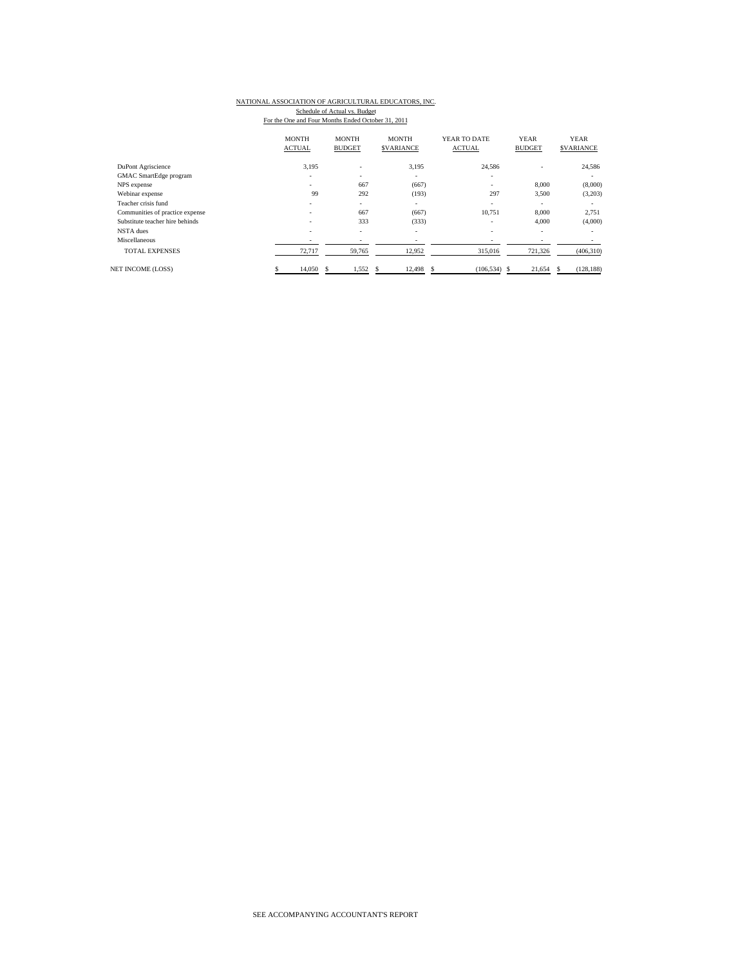# NATIONAL ASSOCIATION OF AGRICULTURAL EDUCATORS, INC.

Schedule of Actual vs. Budget<br>For the One and Four Months Ended October 31, 2011

|                                 | <b>MONTH</b><br><b>ACTUAL</b> |                          | <b>MONTH</b><br><b>BUDGET</b> | <b>MONTH</b><br><b>SVARIANCE</b> | YEAR TO DATE<br><b>ACTUAL</b> | <b>YEAR</b><br><b>BUDGET</b> | <b>YEAR</b><br><b>SVARIANCE</b> |
|---------------------------------|-------------------------------|--------------------------|-------------------------------|----------------------------------|-------------------------------|------------------------------|---------------------------------|
| DuPont Agriscience              |                               | 3,195                    | $\qquad \qquad \blacksquare$  | 3,195                            | 24,586                        | $\overline{\phantom{a}}$     | 24,586                          |
| GMAC SmartEdge program          |                               | -                        | ٠                             | $\overline{\phantom{a}}$         | ٠                             |                              | ٠                               |
| NPS expense                     |                               | $\sim$                   | 667                           | (667)                            | ۰                             | 8,000                        | (8,000)                         |
| Webinar expense                 |                               | 99                       | 292                           | (193)                            | 297                           | 3,500                        | (3,203)                         |
| Teacher crisis fund             |                               |                          | $\overline{\phantom{a}}$      | $\overline{\phantom{a}}$         | ٠                             | ٠                            | ٠                               |
| Communities of practice expense |                               | $\sim$                   | 667                           | (667)                            | 10.751                        | 8,000                        | 2,751                           |
| Substitute teacher hire behinds |                               | $\overline{\phantom{a}}$ | 333                           | (333)                            | ۰                             | 4,000                        | (4,000)                         |
| NSTA dues                       |                               | $\overline{\phantom{a}}$ | ٠                             | $\overline{\phantom{a}}$         | ٠                             | ٠                            | ٠                               |
| Miscellaneous                   |                               | $\overline{\phantom{a}}$ |                               | $\overline{\phantom{a}}$         |                               | ۰                            | ٠                               |
| <b>TOTAL EXPENSES</b>           |                               | 72,717                   | 59,765                        | 12,952                           | 315,016                       | 721,326                      | (406, 310)                      |
| <b>NET INCOME (LOSS)</b>        |                               | 14,050                   | 1,552<br>s                    | 12,498<br>S                      | (106, 534)<br>S.              | 21,654<br>- S                | (128, 188)<br>-S                |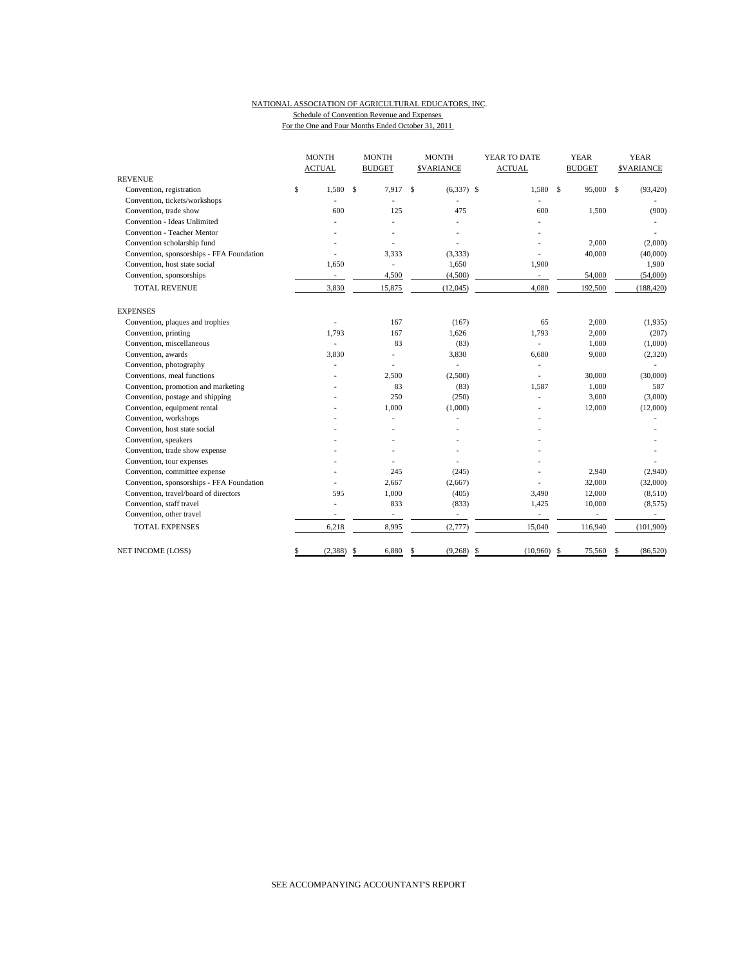#### NATIONAL ASSOCIATION OF AGRICULTURAL EDUCATORS, INC. Schedule of Convention Revenue and Expenses

For the One and Four Months Ended October 31, 2011

|                                           | <b>MONTH</b><br><b>ACTUAL</b> |    | <b>MONTH</b><br><b>BUDGET</b> |              | <b>MONTH</b><br><b>SVARIANCE</b> |     | YEAR TO DATE<br><b>ACTUAL</b> |               | <b>YEAR</b><br><b>BUDGET</b> |    | <b>YEAR</b><br><b>\$VARIANCE</b> |  |
|-------------------------------------------|-------------------------------|----|-------------------------------|--------------|----------------------------------|-----|-------------------------------|---------------|------------------------------|----|----------------------------------|--|
| <b>REVENUE</b>                            |                               |    |                               |              |                                  |     |                               |               |                              |    |                                  |  |
| Convention, registration                  | \$<br>1.580                   | \$ | 7.917                         | $\mathbf{s}$ | $(6,337)$ \$                     |     | 1,580                         | $\mathcal{S}$ | 95,000 \$                    |    | (93, 420)                        |  |
| Convention, tickets/workshops             |                               |    |                               |              |                                  |     |                               |               |                              |    |                                  |  |
| Convention, trade show                    | 600                           |    | 125                           |              | 475                              |     | 600                           |               | 1,500                        |    | (900)                            |  |
| Convention - Ideas Unlimited              |                               |    |                               |              |                                  |     |                               |               |                              |    |                                  |  |
| <b>Convention - Teacher Mentor</b>        |                               |    |                               |              |                                  |     |                               |               |                              |    |                                  |  |
| Convention scholarship fund               |                               |    |                               |              |                                  |     |                               |               | 2,000                        |    | (2,000)                          |  |
| Convention, sponsorships - FFA Foundation |                               |    | 3,333                         |              | (3, 333)                         |     |                               |               | 40,000                       |    | (40,000)                         |  |
| Convention, host state social             | 1,650                         |    | ä,                            |              | 1,650                            |     | 1,900                         |               |                              |    | 1,900                            |  |
| Convention, sponsorships                  | $\overline{\phantom{a}}$      |    | 4,500                         |              | (4,500)                          |     | $\overline{\phantom{a}}$      |               | 54,000                       |    | (54,000)                         |  |
| <b>TOTAL REVENUE</b>                      | 3,830                         |    | 15,875                        |              | (12, 045)                        |     | 4,080                         |               | 192,500                      |    | (188, 420)                       |  |
| <b>EXPENSES</b>                           |                               |    |                               |              |                                  |     |                               |               |                              |    |                                  |  |
| Convention, plaques and trophies          | ä,                            |    | 167                           |              | (167)                            |     | 65                            |               | 2,000                        |    | (1,935)                          |  |
| Convention, printing                      | 1,793                         |    | 167                           |              | 1.626                            |     | 1,793                         |               | 2,000                        |    | (207)                            |  |
| Convention, miscellaneous                 |                               |    | 83                            |              | (83)                             |     |                               |               | 1,000                        |    | (1,000)                          |  |
| Convention, awards                        | 3,830                         |    |                               |              | 3,830                            |     | 6,680                         |               | 9,000                        |    | (2,320)                          |  |
| Convention, photography                   |                               |    |                               |              |                                  |     | ٠                             |               |                              |    |                                  |  |
| Conventions, meal functions               |                               |    | 2,500                         |              | (2,500)                          |     | ä,                            |               | 30,000                       |    | (30,000)                         |  |
| Convention, promotion and marketing       |                               |    | 83                            |              | (83)                             |     | 1,587                         |               | 1,000                        |    | 587                              |  |
| Convention, postage and shipping          |                               |    | 250                           |              | (250)                            |     |                               |               | 3,000                        |    | (3,000)                          |  |
| Convention, equipment rental              |                               |    | 1,000                         |              | (1,000)                          |     |                               |               | 12,000                       |    | (12,000)                         |  |
| Convention, workshops                     |                               |    | L,                            |              |                                  |     |                               |               |                              |    |                                  |  |
| Convention, host state social             |                               |    |                               |              |                                  |     |                               |               |                              |    |                                  |  |
| Convention, speakers                      |                               |    |                               |              |                                  |     |                               |               |                              |    |                                  |  |
| Convention, trade show expense            |                               |    |                               |              |                                  |     |                               |               |                              |    |                                  |  |
| Convention, tour expenses                 |                               |    |                               |              |                                  |     |                               |               |                              |    |                                  |  |
| Convention, committee expense             |                               |    | 245                           |              | (245)                            |     |                               |               | 2,940                        |    | (2,940)                          |  |
| Convention, sponsorships - FFA Foundation |                               |    | 2,667                         |              | (2,667)                          |     |                               |               | 32,000                       |    | (32,000)                         |  |
| Convention, travel/board of directors     | 595                           |    | 1,000                         |              | (405)                            |     | 3,490                         |               | 12,000                       |    | (8,510)                          |  |
| Convention, staff travel                  |                               |    | 833                           |              | (833)                            |     | 1,425                         |               | 10,000                       |    | (8, 575)                         |  |
| Convention, other travel                  | $\overline{\phantom{a}}$      |    | $\overline{\phantom{a}}$      |              | $\sim$                           |     | ÷,                            |               | $\sim$                       |    | $\sim$                           |  |
| <b>TOTAL EXPENSES</b>                     | 6,218                         |    | 8,995                         |              | (2,777)                          |     | 15,040                        |               | 116,940                      |    | (101,900)                        |  |
| NET INCOME (LOSS)                         | \$<br>(2,388)                 | S  | 6,880                         | \$           | (9,268)                          | -\$ | $(10,960)$ \$                 |               | 75,560                       | \$ | (86, 520)                        |  |